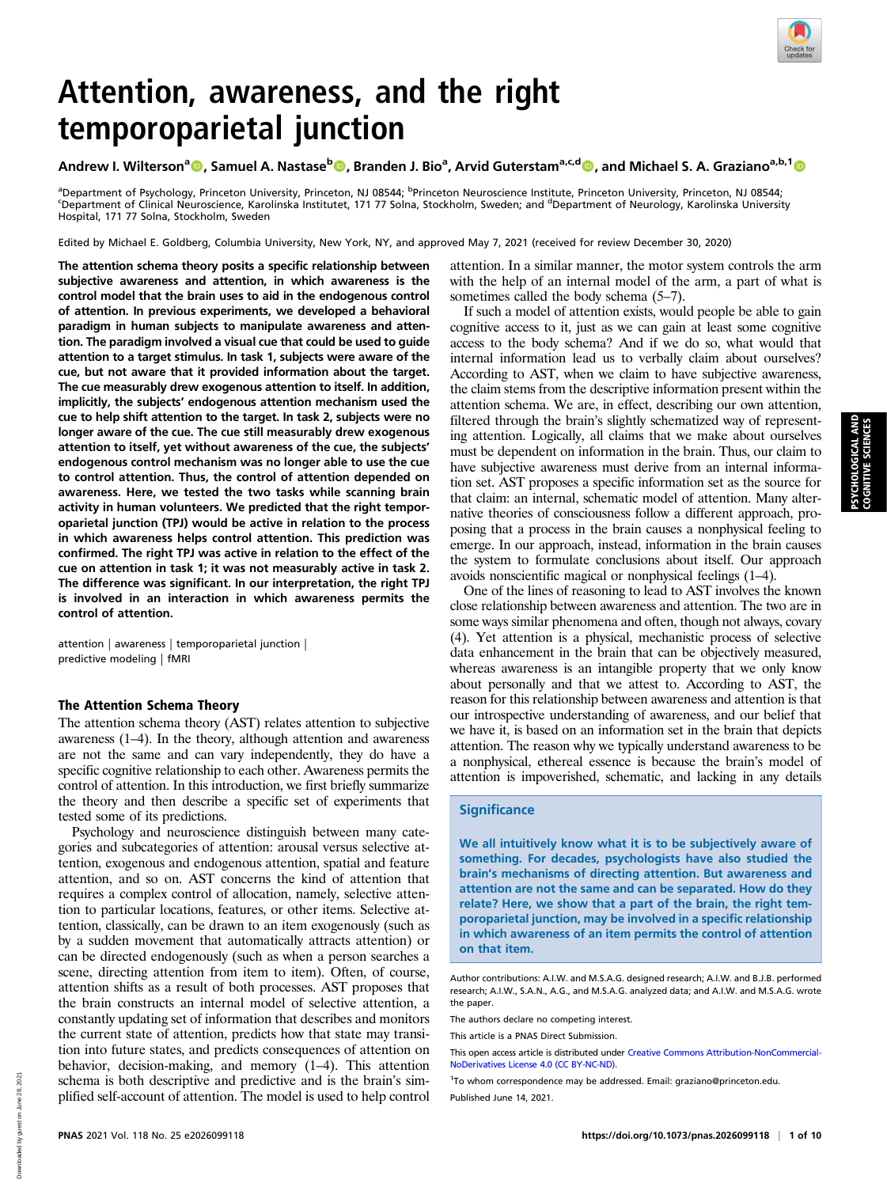

# Attention, awareness, and the right temporoparietal junction

## Andrew I. Wilterson<sup>a</sup>©, Samuel A. Nastase<sup>b</sup>©, Branden J. Bio<sup>a</sup>, Arvid Guterstam<sup>a,c,d</sup>©, and Michael S. A. Graziano<sup>a,b,1</sup>©

<sup>a</sup>Department of Psychology, Princeton University, Princeton, NJ 08544; <sup>b</sup>Princeton Neuroscience Institute, Princeton University, Princeton, NJ 08544;<br><sup>S</sup>Department of Clinical Neuroscience, Karolinska Instituted, 171,77 Department of Clinical Neuroscience, Karolinska Institutet, 171 77 Solna, Stockholm, Sweden; and <sup>d</sup>Department of Neurology, Karolinska University Hospital, 171 77 Solna, Stockholm, Sweden

Edited by Michael E. Goldberg, Columbia University, New York, NY, and approved May 7, 2021 (received for review December 30, 2020)

The attention schema theory posits a specific relationship between subjective awareness and attention, in which awareness is the control model that the brain uses to aid in the endogenous control of attention. In previous experiments, we developed a behavioral paradigm in human subjects to manipulate awareness and attention. The paradigm involved a visual cue that could be used to guide attention to a target stimulus. In task 1, subjects were aware of the cue, but not aware that it provided information about the target. The cue measurably drew exogenous attention to itself. In addition, implicitly, the subjects' endogenous attention mechanism used the cue to help shift attention to the target. In task 2, subjects were no longer aware of the cue. The cue still measurably drew exogenous attention to itself, yet without awareness of the cue, the subjects' endogenous control mechanism was no longer able to use the cue to control attention. Thus, the control of attention depended on awareness. Here, we tested the two tasks while scanning brain activity in human volunteers. We predicted that the right temporoparietal junction (TPJ) would be active in relation to the process in which awareness helps control attention. This prediction was confirmed. The right TPJ was active in relation to the effect of the cue on attention in task 1; it was not measurably active in task 2. The difference was significant. In our interpretation, the right TPJ is involved in an interaction in which awareness permits the control of attention.

attention | awareness | temporoparietal junction | predictive modeling | fMRI

### The Attention Schema Theory

The attention schema theory (AST) relates attention to subjective awareness (1–4). In the theory, although attention and awareness are not the same and can vary independently, they do have a specific cognitive relationship to each other. Awareness permits the control of attention. In this introduction, we first briefly summarize the theory and then describe a specific set of experiments that tested some of its predictions.

Psychology and neuroscience distinguish between many categories and subcategories of attention: arousal versus selective attention, exogenous and endogenous attention, spatial and feature attention, and so on. AST concerns the kind of attention that requires a complex control of allocation, namely, selective attention to particular locations, features, or other items. Selective attention, classically, can be drawn to an item exogenously (such as by a sudden movement that automatically attracts attention) or can be directed endogenously (such as when a person searches a scene, directing attention from item to item). Often, of course, attention shifts as a result of both processes. AST proposes that the brain constructs an internal model of selective attention, a constantly updating set of information that describes and monitors the current state of attention, predicts how that state may transition into future states, and predicts consequences of attention on behavior, decision-making, and memory (1–4). This attention schema is both descriptive and predictive and is the brain's simplified self-account of attention. The model is used to help control attention. In a similar manner, the motor system controls the arm with the help of an internal model of the arm, a part of what is sometimes called the body schema (5–7).

If such a model of attention exists, would people be able to gain cognitive access to it, just as we can gain at least some cognitive access to the body schema? And if we do so, what would that internal information lead us to verbally claim about ourselves? According to AST, when we claim to have subjective awareness, the claim stems from the descriptive information present within the attention schema. We are, in effect, describing our own attention, filtered through the brain's slightly schematized way of representing attention. Logically, all claims that we make about ourselves must be dependent on information in the brain. Thus, our claim to have subjective awareness must derive from an internal information set. AST proposes a specific information set as the source for that claim: an internal, schematic model of attention. Many alternative theories of consciousness follow a different approach, proposing that a process in the brain causes a nonphysical feeling to emerge. In our approach, instead, information in the brain causes the system to formulate conclusions about itself. Our approach avoids nonscientific magical or nonphysical feelings (1–4).

One of the lines of reasoning to lead to AST involves the known close relationship between awareness and attention. The two are in some ways similar phenomena and often, though not always, covary (4). Yet attention is a physical, mechanistic process of selective data enhancement in the brain that can be objectively measured, whereas awareness is an intangible property that we only know about personally and that we attest to. According to AST, the reason for this relationship between awareness and attention is that our introspective understanding of awareness, and our belief that we have it, is based on an information set in the brain that depicts attention. The reason why we typically understand awareness to be a nonphysical, ethereal essence is because the brain's model of attention is impoverished, schematic, and lacking in any details

#### **Significance**

We all intuitively know what it is to be subjectively aware of something. For decades, psychologists have also studied the brain's mechanisms of directing attention. But awareness and attention are not the same and can be separated. How do they relate? Here, we show that a part of the brain, the right temporoparietal junction, may be involved in a specific relationship in which awareness of an item permits the control of attention on that item.

Author contributions: A.I.W. and M.S.A.G. designed research; A.I.W. and B.J.B. performed research; A.I.W., S.A.N., A.G., and M.S.A.G. analyzed data; and A.I.W. and M.S.A.G. wrote the paper.

The authors declare no competing interest.

This article is a PNAS Direct Submission.

<sup>1</sup>To whom correspondence may be addressed. Email: [graziano@princeton.edu](mailto:graziano@princeton.edu). Published June 14, 2021.

This open access article is distributed under [Creative Commons Attribution-NonCommercial-](https://creativecommons.org/licenses/by-nc-nd/4.0/)[NoDerivatives License 4.0 \(CC BY-NC-ND\).](https://creativecommons.org/licenses/by-nc-nd/4.0/)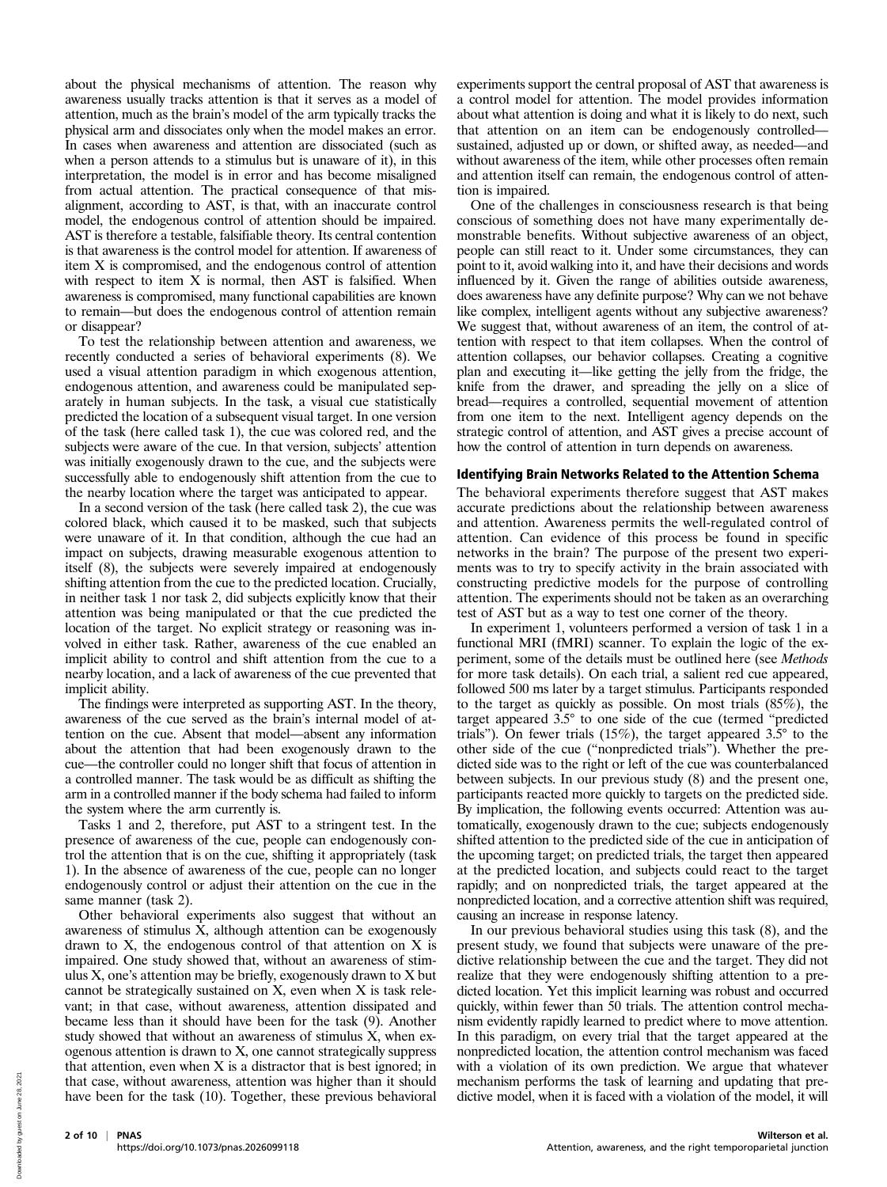about the physical mechanisms of attention. The reason why awareness usually tracks attention is that it serves as a model of attention, much as the brain's model of the arm typically tracks the physical arm and dissociates only when the model makes an error. In cases when awareness and attention are dissociated (such as when a person attends to a stimulus but is unaware of it), in this interpretation, the model is in error and has become misaligned from actual attention. The practical consequence of that misalignment, according to AST, is that, with an inaccurate control model, the endogenous control of attention should be impaired. AST is therefore a testable, falsifiable theory. Its central contention is that awareness is the control model for attention. If awareness of item X is compromised, and the endogenous control of attention with respect to item X is normal, then AST is falsified. When awareness is compromised, many functional capabilities are known to remain—but does the endogenous control of attention remain or disappear?

To test the relationship between attention and awareness, we recently conducted a series of behavioral experiments (8). We used a visual attention paradigm in which exogenous attention, endogenous attention, and awareness could be manipulated separately in human subjects. In the task, a visual cue statistically predicted the location of a subsequent visual target. In one version of the task (here called task 1), the cue was colored red, and the subjects were aware of the cue. In that version, subjects' attention was initially exogenously drawn to the cue, and the subjects were successfully able to endogenously shift attention from the cue to the nearby location where the target was anticipated to appear.

In a second version of the task (here called task 2), the cue was colored black, which caused it to be masked, such that subjects were unaware of it. In that condition, although the cue had an impact on subjects, drawing measurable exogenous attention to itself (8), the subjects were severely impaired at endogenously shifting attention from the cue to the predicted location. Crucially, in neither task 1 nor task 2, did subjects explicitly know that their attention was being manipulated or that the cue predicted the location of the target. No explicit strategy or reasoning was involved in either task. Rather, awareness of the cue enabled an implicit ability to control and shift attention from the cue to a nearby location, and a lack of awareness of the cue prevented that implicit ability.

The findings were interpreted as supporting AST. In the theory, awareness of the cue served as the brain's internal model of attention on the cue. Absent that model—absent any information about the attention that had been exogenously drawn to the cue—the controller could no longer shift that focus of attention in a controlled manner. The task would be as difficult as shifting the arm in a controlled manner if the body schema had failed to inform the system where the arm currently is.

Tasks 1 and 2, therefore, put AST to a stringent test. In the presence of awareness of the cue, people can endogenously control the attention that is on the cue, shifting it appropriately (task 1). In the absence of awareness of the cue, people can no longer endogenously control or adjust their attention on the cue in the same manner (task 2).

Other behavioral experiments also suggest that without an awareness of stimulus X, although attention can be exogenously drawn to X, the endogenous control of that attention on X is impaired. One study showed that, without an awareness of stimulus X, one's attention may be briefly, exogenously drawn to X but cannot be strategically sustained on X, even when X is task relevant; in that case, without awareness, attention dissipated and became less than it should have been for the task (9). Another study showed that without an awareness of stimulus X, when exogenous attention is drawn to X, one cannot strategically suppress that attention, even when X is a distractor that is best ignored; in that case, without awareness, attention was higher than it should have been for the task (10). Together, these previous behavioral

experiments support the central proposal of AST that awareness is a control model for attention. The model provides information about what attention is doing and what it is likely to do next, such that attention on an item can be endogenously controlled sustained, adjusted up or down, or shifted away, as needed—and without awareness of the item, while other processes often remain and attention itself can remain, the endogenous control of attention is impaired.

One of the challenges in consciousness research is that being conscious of something does not have many experimentally demonstrable benefits. Without subjective awareness of an object, people can still react to it. Under some circumstances, they can point to it, avoid walking into it, and have their decisions and words influenced by it. Given the range of abilities outside awareness, does awareness have any definite purpose? Why can we not behave like complex, intelligent agents without any subjective awareness? We suggest that, without awareness of an item, the control of attention with respect to that item collapses. When the control of attention collapses, our behavior collapses. Creating a cognitive plan and executing it—like getting the jelly from the fridge, the knife from the drawer, and spreading the jelly on a slice of bread—requires a controlled, sequential movement of attention from one item to the next. Intelligent agency depends on the strategic control of attention, and AST gives a precise account of how the control of attention in turn depends on awareness.

### Identifying Brain Networks Related to the Attention Schema

The behavioral experiments therefore suggest that AST makes accurate predictions about the relationship between awareness and attention. Awareness permits the well-regulated control of attention. Can evidence of this process be found in specific networks in the brain? The purpose of the present two experiments was to try to specify activity in the brain associated with constructing predictive models for the purpose of controlling attention. The experiments should not be taken as an overarching test of AST but as a way to test one corner of the theory.

In experiment 1, volunteers performed a version of task 1 in a functional MRI (fMRI) scanner. To explain the logic of the experiment, some of the details must be outlined here (see Methods for more task details). On each trial, a salient red cue appeared, followed 500 ms later by a target stimulus. Participants responded to the target as quickly as possible. On most trials (85%), the target appeared 3.5° to one side of the cue (termed "predicted trials"). On fewer trials (15%), the target appeared 3.5° to the other side of the cue ("nonpredicted trials"). Whether the predicted side was to the right or left of the cue was counterbalanced between subjects. In our previous study (8) and the present one, participants reacted more quickly to targets on the predicted side. By implication, the following events occurred: Attention was automatically, exogenously drawn to the cue; subjects endogenously shifted attention to the predicted side of the cue in anticipation of the upcoming target; on predicted trials, the target then appeared at the predicted location, and subjects could react to the target rapidly; and on nonpredicted trials, the target appeared at the nonpredicted location, and a corrective attention shift was required, causing an increase in response latency.

In our previous behavioral studies using this task (8), and the present study, we found that subjects were unaware of the predictive relationship between the cue and the target. They did not realize that they were endogenously shifting attention to a predicted location. Yet this implicit learning was robust and occurred quickly, within fewer than 50 trials. The attention control mechanism evidently rapidly learned to predict where to move attention. In this paradigm, on every trial that the target appeared at the nonpredicted location, the attention control mechanism was faced with a violation of its own prediction. We argue that whatever mechanism performs the task of learning and updating that predictive model, when it is faced with a violation of the model, it will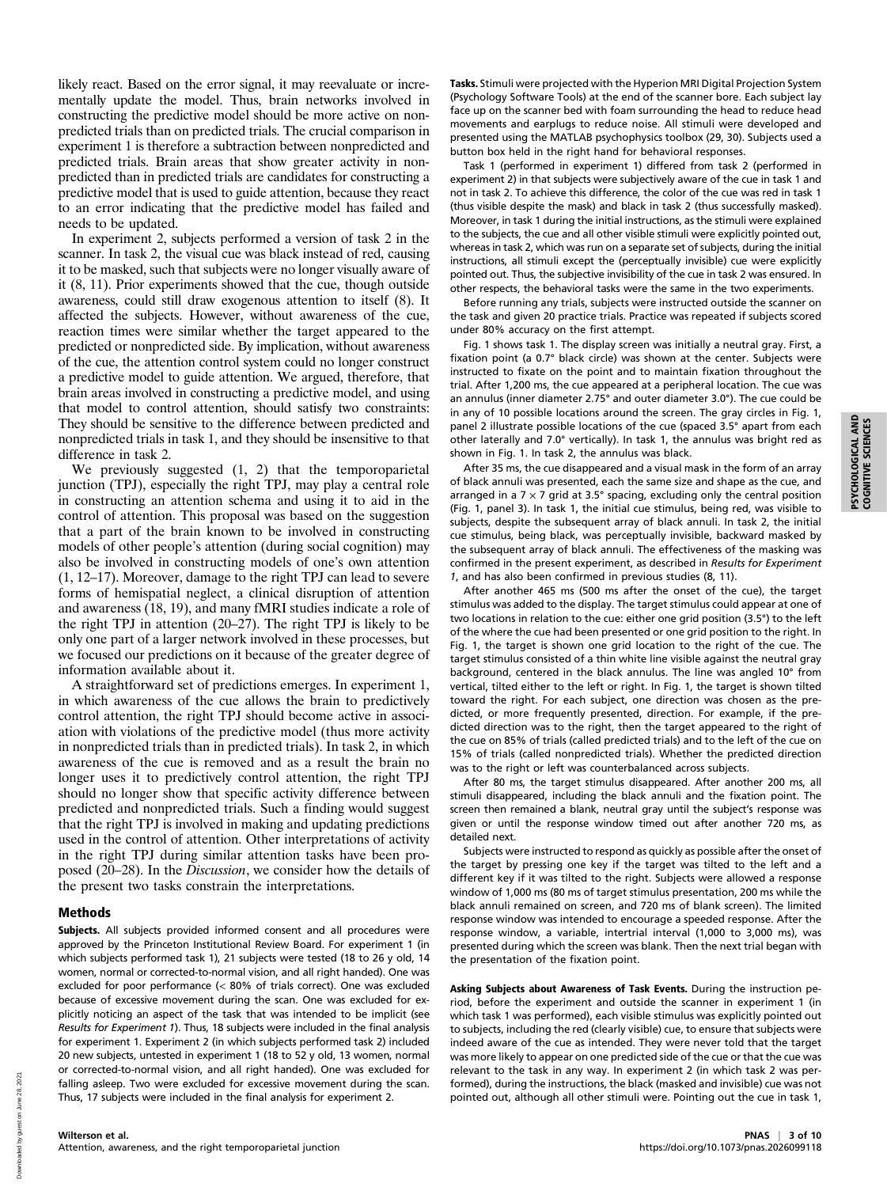likely react. Based on the error signal, it may reevaluate or incrementally update the model. Thus, brain networks involved in constructing the predictive model should be more active on nonpredicted trials than on predicted trials. The crucial comparison in experiment 1 is therefore a subtraction between nonpredicted and predicted trials. Brain areas that show greater activity in nonpredicted than in predicted trials are candidates for constructing a predictive model that is used to guide attention, because they react to an error indicating that the predictive model has failed and needs to be updated.

In experiment 2, subjects performed a version of task 2 in the scanner. In task 2, the visual cue was black instead of red, causing it to be masked, such that subjects were no longer visually aware of it (8, 11). Prior experiments showed that the cue, though outside awareness, could still draw exogenous attention to itself (8). It affected the subjects. However, without awareness of the cue, reaction times were similar whether the target appeared to the predicted or nonpredicted side. By implication, without awareness of the cue, the attention control system could no longer construct a predictive model to guide attention. We argued, therefore, that brain areas involved in constructing a predictive model, and using that model to control attention, should satisfy two constraints: They should be sensitive to the difference between predicted and nonpredicted trials in task 1, and they should be insensitive to that difference in task 2.

We previously suggested (1, 2) that the temporoparietal junction (TPJ), especially the right TPJ, may play a central role in constructing an attention schema and using it to aid in the control of attention. This proposal was based on the suggestion that a part of the brain known to be involved in constructing models of other people's attention (during social cognition) may also be involved in constructing models of one's own attention (1, 12–17). Moreover, damage to the right TPJ can lead to severe forms of hemispatial neglect, a clinical disruption of attention and awareness (18, 19), and many fMRI studies indicate a role of the right TPJ in attention (20–27). The right TPJ is likely to be only one part of a larger network involved in these processes, but we focused our predictions on it because of the greater degree of information available about it.

A straightforward set of predictions emerges. In experiment 1, in which awareness of the cue allows the brain to predictively control attention, the right TPJ should become active in association with violations of the predictive model (thus more activity in nonpredicted trials than in predicted trials). In task 2, in which awareness of the cue is removed and as a result the brain no longer uses it to predictively control attention, the right TPJ should no longer show that specific activity difference between predicted and nonpredicted trials. Such a finding would suggest that the right TPJ is involved in making and updating predictions used in the control of attention. Other interpretations of activity in the right TPJ during similar attention tasks have been proposed (20–28). In the Discussion, we consider how the details of the present two tasks constrain the interpretations.

### Methods

Subjects. All subjects provided informed consent and all procedures were approved by the Princeton Institutional Review Board. For experiment 1 (in which subjects performed task 1), 21 subjects were tested (18 to 26 y old, 14 women, normal or corrected-to-normal vision, and all right handed). One was excluded for poor performance (< 80% of trials correct). One was excluded because of excessive movement during the scan. One was excluded for explicitly noticing an aspect of the task that was intended to be implicit (see Results for Experiment 1). Thus, 18 subjects were included in the final analysis for experiment 1. Experiment 2 (in which subjects performed task 2) included 20 new subjects, untested in experiment 1 (18 to 52 y old, 13 women, normal or corrected-to-normal vision, and all right handed). One was excluded for falling asleep. Two were excluded for excessive movement during the scan. Thus, 17 subjects were included in the final analysis for experiment 2.

Tasks. Stimuli were projected with the Hyperion MRI Digital Projection System (Psychology Software Tools) at the end of the scanner bore. Each subject lay face up on the scanner bed with foam surrounding the head to reduce head movements and earplugs to reduce noise. All stimuli were developed and presented using the MATLAB psychophysics toolbox (29, 30). Subjects used a button box held in the right hand for behavioral responses.

Task 1 (performed in experiment 1) differed from task 2 (performed in experiment 2) in that subjects were subjectively aware of the cue in task 1 and not in task 2. To achieve this difference, the color of the cue was red in task 1 (thus visible despite the mask) and black in task 2 (thus successfully masked). Moreover, in task 1 during the initial instructions, as the stimuli were explained to the subjects, the cue and all other visible stimuli were explicitly pointed out, whereas in task 2, which was run on a separate set of subjects, during the initial instructions, all stimuli except the (perceptually invisible) cue were explicitly pointed out. Thus, the subjective invisibility of the cue in task 2 was ensured. In other respects, the behavioral tasks were the same in the two experiments.

Before running any trials, subjects were instructed outside the scanner on the task and given 20 practice trials. Practice was repeated if subjects scored under 80% accuracy on the first attempt.

Fig. 1 shows task 1. The display screen was initially a neutral gray. First, a fixation point (a 0.7° black circle) was shown at the center. Subjects were instructed to fixate on the point and to maintain fixation throughout the trial. After 1,200 ms, the cue appeared at a peripheral location. The cue was an annulus (inner diameter 2.75° and outer diameter 3.0°). The cue could be in any of 10 possible locations around the screen. The gray circles in Fig. 1, panel 2 illustrate possible locations of the cue (spaced 3.5° apart from each other laterally and 7.0° vertically). In task 1, the annulus was bright red as shown in Fig. 1. In task 2, the annulus was black.

After 35 ms, the cue disappeared and a visual mask in the form of an array of black annuli was presented, each the same size and shape as the cue, and arranged in a 7  $\times$  7 grid at 3.5° spacing, excluding only the central position (Fig. 1, panel 3). In task 1, the initial cue stimulus, being red, was visible to subjects, despite the subsequent array of black annuli. In task 2, the initial cue stimulus, being black, was perceptually invisible, backward masked by the subsequent array of black annuli. The effectiveness of the masking was confirmed in the present experiment, as described in Results for Experiment 1, and has also been confirmed in previous studies (8, 11).

After another 465 ms (500 ms after the onset of the cue), the target stimulus was added to the display. The target stimulus could appear at one of two locations in relation to the cue: either one grid position (3.5°) to the left of the where the cue had been presented or one grid position to the right. In Fig. 1, the target is shown one grid location to the right of the cue. The target stimulus consisted of a thin white line visible against the neutral gray background, centered in the black annulus. The line was angled 10° from vertical, tilted either to the left or right. In Fig. 1, the target is shown tilted toward the right. For each subject, one direction was chosen as the predicted, or more frequently presented, direction. For example, if the predicted direction was to the right, then the target appeared to the right of the cue on 85% of trials (called predicted trials) and to the left of the cue on 15% of trials (called nonpredicted trials). Whether the predicted direction was to the right or left was counterbalanced across subjects.

After 80 ms, the target stimulus disappeared. After another 200 ms, all stimuli disappeared, including the black annuli and the fixation point. The screen then remained a blank, neutral gray until the subject's response was given or until the response window timed out after another 720 ms, as detailed next.

Subjects were instructed to respond as quickly as possible after the onset of the target by pressing one key if the target was tilted to the left and a different key if it was tilted to the right. Subjects were allowed a response window of 1,000 ms (80 ms of target stimulus presentation, 200 ms while the black annuli remained on screen, and 720 ms of blank screen). The limited response window was intended to encourage a speeded response. After the response window, a variable, intertrial interval (1,000 to 3,000 ms), was presented during which the screen was blank. Then the next trial began with the presentation of the fixation point.

Asking Subjects about Awareness of Task Events. During the instruction period, before the experiment and outside the scanner in experiment 1 (in which task 1 was performed), each visible stimulus was explicitly pointed out to subjects, including the red (clearly visible) cue, to ensure that subjects were indeed aware of the cue as intended. They were never told that the target was more likely to appear on one predicted side of the cue or that the cue was relevant to the task in any way. In experiment 2 (in which task 2 was performed), during the instructions, the black (masked and invisible) cue was not pointed out, although all other stimuli were. Pointing out the cue in task 1,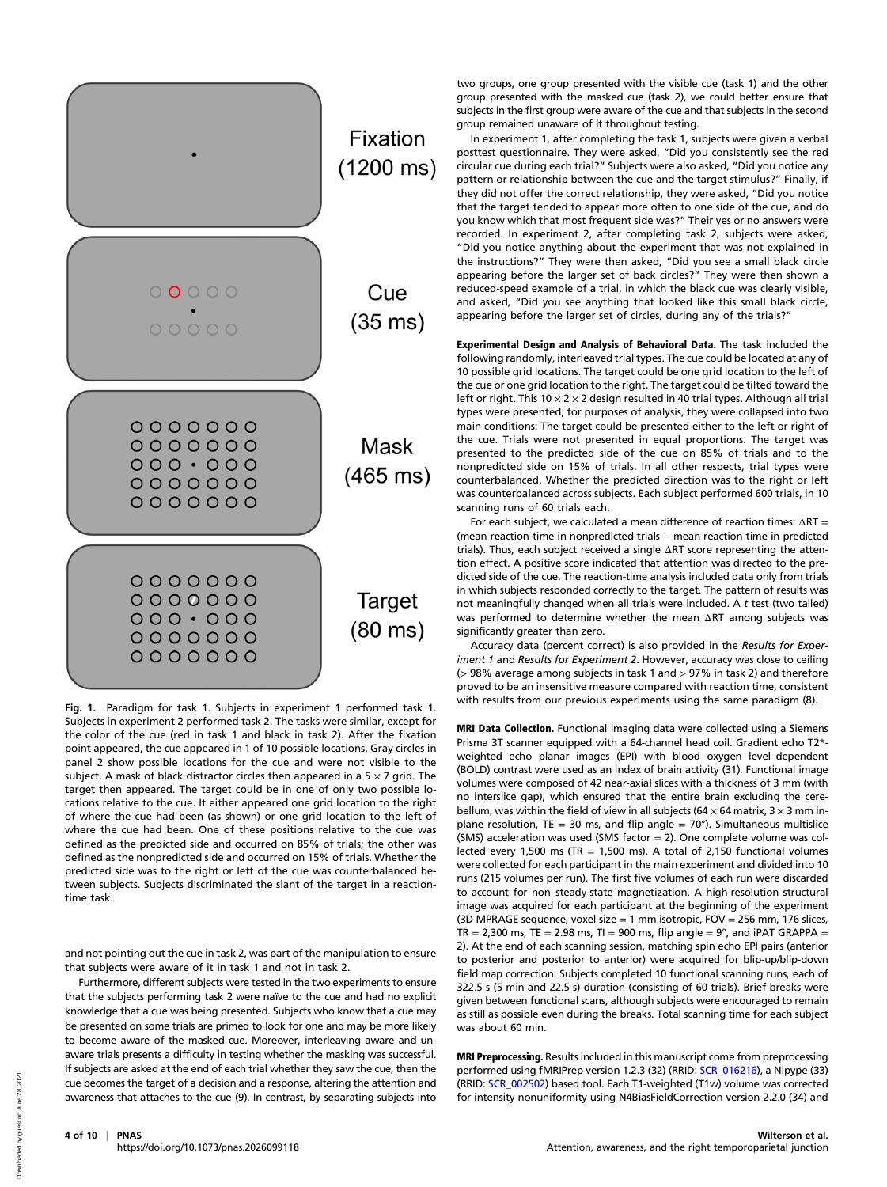

Fig. 1. Paradigm for task 1. Subjects in experiment 1 performed task 1. Subjects in experiment 2 performed task 2. The tasks were similar, except for the color of the cue (red in task 1 and black in task 2). After the fixation point appeared, the cue appeared in 1 of 10 possible locations. Gray circles in panel 2 show possible locations for the cue and were not visible to the subject. A mask of black distractor circles then appeared in a  $5 \times 7$  grid. The target then appeared. The target could be in one of only two possible locations relative to the cue. It either appeared one grid location to the right of where the cue had been (as shown) or one grid location to the left of where the cue had been. One of these positions relative to the cue was defined as the predicted side and occurred on 85% of trials; the other was defined as the nonpredicted side and occurred on 15% of trials. Whether the predicted side was to the right or left of the cue was counterbalanced between subjects. Subjects discriminated the slant of the target in a reactiontime task.

and not pointing out the cue in task 2, was part of the manipulation to ensure that subjects were aware of it in task 1 and not in task 2.

Furthermore, different subjects were tested in the two experiments to ensure that the subjects performing task 2 were naïve to the cue and had no explicit knowledge that a cue was being presented. Subjects who know that a cue may be presented on some trials are primed to look for one and may be more likely to become aware of the masked cue. Moreover, interleaving aware and unaware trials presents a difficulty in testing whether the masking was successful. If subjects are asked at the end of each trial whether they saw the cue, then the cue becomes the target of a decision and a response, altering the attention and awareness that attaches to the cue (9). In contrast, by separating subjects into

two groups, one group presented with the visible cue (task 1) and the other group presented with the masked cue (task 2), we could better ensure that subjects in the first group were aware of the cue and that subjects in the second group remained unaware of it throughout testing.

In experiment 1, after completing the task 1, subjects were given a verbal posttest questionnaire. They were asked, "Did you consistently see the red circular cue during each trial?" Subjects were also asked, "Did you notice any pattern or relationship between the cue and the target stimulus?" Finally, if they did not offer the correct relationship, they were asked, "Did you notice that the target tended to appear more often to one side of the cue, and do you know which that most frequent side was?" Their yes or no answers were recorded. In experiment 2, after completing task 2, subjects were asked, "Did you notice anything about the experiment that was not explained in the instructions?" They were then asked, "Did you see a small black circle appearing before the larger set of back circles?" They were then shown a reduced-speed example of a trial, in which the black cue was clearly visible, and asked, "Did you see anything that looked like this small black circle, appearing before the larger set of circles, during any of the trials?"

Experimental Design and Analysis of Behavioral Data. The task included the following randomly, interleaved trial types. The cue could be located at any of 10 possible grid locations. The target could be one grid location to the left of the cue or one grid location to the right. The target could be tilted toward the left or right. This 10  $\times$  2  $\times$  2 design resulted in 40 trial types. Although all trial types were presented, for purposes of analysis, they were collapsed into two main conditions: The target could be presented either to the left or right of the cue. Trials were not presented in equal proportions. The target was presented to the predicted side of the cue on 85% of trials and to the nonpredicted side on 15% of trials. In all other respects, trial types were counterbalanced. Whether the predicted direction was to the right or left was counterbalanced across subjects. Each subject performed 600 trials, in 10 scanning runs of 60 trials each.

For each subject, we calculated a mean difference of reaction times: ΔRT = (mean reaction time in nonpredicted trials − mean reaction time in predicted trials). Thus, each subject received a single ΔRT score representing the attention effect. A positive score indicated that attention was directed to the predicted side of the cue. The reaction-time analysis included data only from trials in which subjects responded correctly to the target. The pattern of results was not meaningfully changed when all trials were included. A t test (two tailed) was performed to determine whether the mean ΔRT among subjects was significantly greater than zero.

Accuracy data (percent correct) is also provided in the Results for Experiment 1 and Results for Experiment 2. However, accuracy was close to ceiling (> 98% average among subjects in task 1 and > 97% in task 2) and therefore proved to be an insensitive measure compared with reaction time, consistent with results from our previous experiments using the same paradigm (8).

MRI Data Collection. Functional imaging data were collected using a Siemens Prisma 3T scanner equipped with a 64-channel head coil. Gradient echo T2\* weighted echo planar images (EPI) with blood oxygen level–dependent (BOLD) contrast were used as an index of brain activity (31). Functional image volumes were composed of 42 near-axial slices with a thickness of 3 mm (with no interslice gap), which ensured that the entire brain excluding the cerebellum, was within the field of view in all subjects (64  $\times$  64 matrix, 3  $\times$  3 mm inplane resolution, TE = 30 ms, and flip angle =  $70^{\circ}$ ). Simultaneous multislice (SMS) acceleration was used (SMS factor  $= 2$ ). One complete volume was collected every 1,500 ms (TR = 1,500 ms). A total of 2,150 functional volumes were collected for each participant in the main experiment and divided into 10 runs (215 volumes per run). The first five volumes of each run were discarded to account for non–steady-state magnetization. A high-resolution structural image was acquired for each participant at the beginning of the experiment (3D MPRAGE sequence, voxel size = 1 mm isotropic, FOV = 256 mm, 176 slices, TR = 2,300 ms, TE = 2.98 ms, TI = 900 ms, flip angle =  $9^{\circ}$ , and iPAT GRAPPA = 2). At the end of each scanning session, matching spin echo EPI pairs (anterior to posterior and posterior to anterior) were acquired for blip-up/blip-down field map correction. Subjects completed 10 functional scanning runs, each of 322.5 s (5 min and 22.5 s) duration (consisting of 60 trials). Brief breaks were given between functional scans, although subjects were encouraged to remain as still as possible even during the breaks. Total scanning time for each subject was about 60 min.

MRI Preprocessing. Results included in this manuscript come from preprocessing performed using fMRIPrep version 1.2.3 (32) (RRID: [SCR\\_016216](https://scicrunch.org/resolver/RRID:SCR_016216)), a Nipype (33) (RRID: [SCR\\_002502\)](https://scicrunch.org/resolver/RRID:SCR_002502) based tool. Each T1-weighted (T1w) volume was corrected for intensity nonuniformity using N4BiasFieldCorrection version 2.2.0 (34) and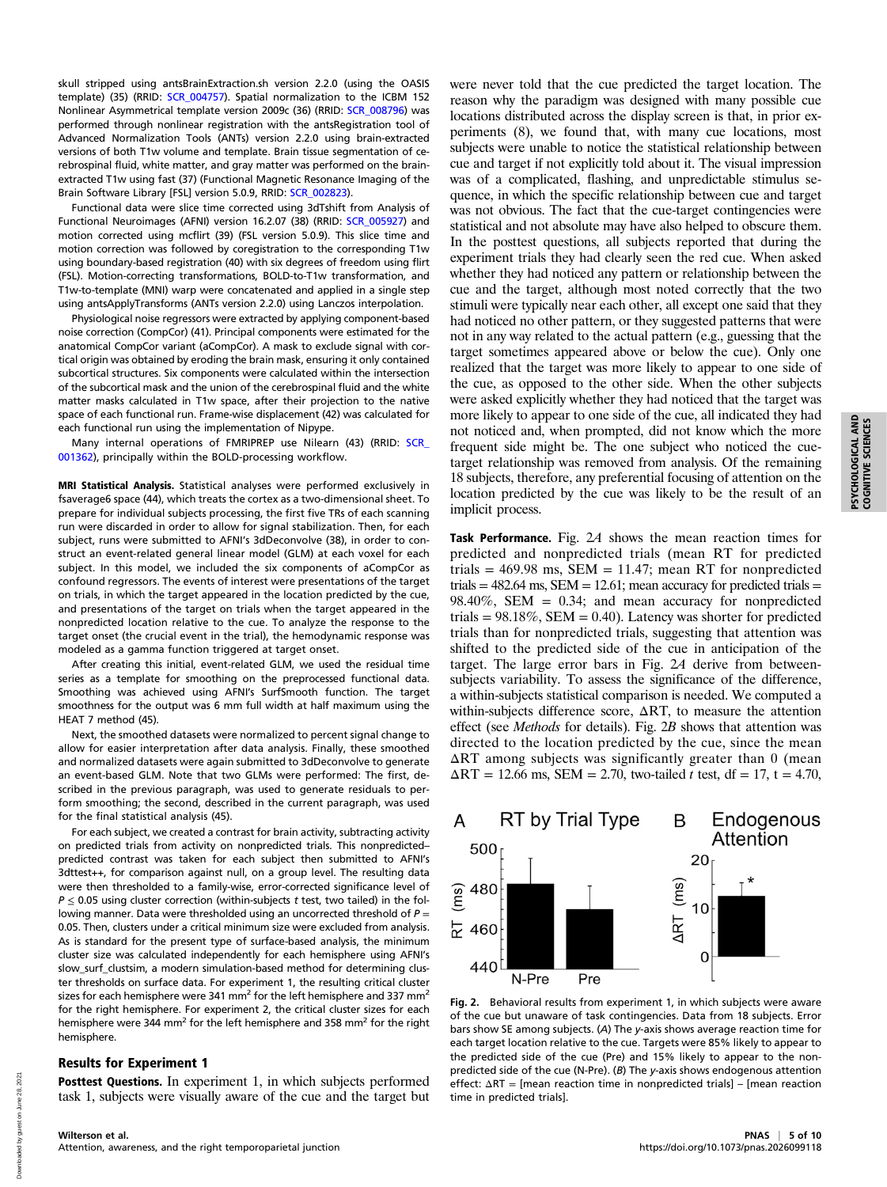skull stripped using antsBrainExtraction.sh version 2.2.0 (using the OASIS template) (35) (RRID: [SCR\\_004757\)](https://scicrunch.org/resolver/RRID:SCR_004757). Spatial normalization to the ICBM 152 Nonlinear Asymmetrical template version 2009c (36) (RRID: [SCR\\_008796\)](https://scicrunch.org/resolver/RRID:SCR_008796) was performed through nonlinear registration with the antsRegistration tool of Advanced Normalization Tools (ANTs) version 2.2.0 using brain-extracted versions of both T1w volume and template. Brain tissue segmentation of cerebrospinal fluid, white matter, and gray matter was performed on the brainextracted T1w using fast (37) (Functional Magnetic Resonance Imaging of the Brain Software Library [FSL] version 5.0.9, RRID: [SCR\\_002823\)](https://scicrunch.org/resolver/RRID:SCR_002823).

Functional data were slice time corrected using 3dTshift from Analysis of Functional Neuroimages (AFNI) version 16.2.07 (38) (RRID: [SCR\\_005927](https://scicrunch.org/resolver/RRID:SCR_005927)) and motion corrected using mcflirt (39) (FSL version 5.0.9). This slice time and motion correction was followed by coregistration to the corresponding T1w using boundary-based registration (40) with six degrees of freedom using flirt (FSL). Motion-correcting transformations, BOLD-to-T1w transformation, and T1w-to-template (MNI) warp were concatenated and applied in a single step using antsApplyTransforms (ANTs version 2.2.0) using Lanczos interpolation.

Physiological noise regressors were extracted by applying component-based noise correction (CompCor) (41). Principal components were estimated for the anatomical CompCor variant (aCompCor). A mask to exclude signal with cortical origin was obtained by eroding the brain mask, ensuring it only contained subcortical structures. Six components were calculated within the intersection of the subcortical mask and the union of the cerebrospinal fluid and the white matter masks calculated in T1w space, after their projection to the native space of each functional run. Frame-wise displacement (42) was calculated for each functional run using the implementation of Nipype.

Many internal operations of FMRIPREP use Nilearn (43) (RRID: SCR [001362\)](https://scicrunch.org/resolver/RRID:SCR_001362), principally within the BOLD-processing workflow.

MRI Statistical Analysis. Statistical analyses were performed exclusively in fsaverage6 space (44), which treats the cortex as a two-dimensional sheet. To prepare for individual subjects processing, the first five TRs of each scanning run were discarded in order to allow for signal stabilization. Then, for each subject, runs were submitted to AFNI's 3dDeconvolve (38), in order to construct an event-related general linear model (GLM) at each voxel for each subject. In this model, we included the six components of aCompCor as confound regressors. The events of interest were presentations of the target on trials, in which the target appeared in the location predicted by the cue, and presentations of the target on trials when the target appeared in the nonpredicted location relative to the cue. To analyze the response to the target onset (the crucial event in the trial), the hemodynamic response was modeled as a gamma function triggered at target onset.

After creating this initial, event-related GLM, we used the residual time series as a template for smoothing on the preprocessed functional data. Smoothing was achieved using AFNI's SurfSmooth function. The target smoothness for the output was 6 mm full width at half maximum using the HEAT 7 method (45).

Next, the smoothed datasets were normalized to percent signal change to allow for easier interpretation after data analysis. Finally, these smoothed and normalized datasets were again submitted to 3dDeconvolve to generate an event-based GLM. Note that two GLMs were performed: The first, described in the previous paragraph, was used to generate residuals to perform smoothing; the second, described in the current paragraph, was used for the final statistical analysis (45).

For each subject, we created a contrast for brain activity, subtracting activity on predicted trials from activity on nonpredicted trials. This nonpredicted– predicted contrast was taken for each subject then submitted to AFNI's 3dttest++, for comparison against null, on a group level. The resulting data were then thresholded to a family-wise, error-corrected significance level of  $P \le 0.05$  using cluster correction (within-subjects t test, two tailed) in the following manner. Data were thresholded using an uncorrected threshold of  $P =$ 0.05. Then, clusters under a critical minimum size were excluded from analysis. As is standard for the present type of surface-based analysis, the minimum cluster size was calculated independently for each hemisphere using AFNI's slow surf clustsim, a modern simulation-based method for determining cluster thresholds on surface data. For experiment 1, the resulting critical cluster sizes for each hemisphere were 341 mm<sup>2</sup> for the left hemisphere and 337 mm<sup>2</sup> for the right hemisphere. For experiment 2, the critical cluster sizes for each hemisphere were 344 mm<sup>2</sup> for the left hemisphere and 358 mm<sup>2</sup> for the right hemisphere.

#### Results for Experiment 1

Posttest Questions. In experiment 1, in which subjects performed task 1, subjects were visually aware of the cue and the target but were never told that the cue predicted the target location. The reason why the paradigm was designed with many possible cue locations distributed across the display screen is that, in prior experiments (8), we found that, with many cue locations, most subjects were unable to notice the statistical relationship between cue and target if not explicitly told about it. The visual impression was of a complicated, flashing, and unpredictable stimulus sequence, in which the specific relationship between cue and target was not obvious. The fact that the cue-target contingencies were statistical and not absolute may have also helped to obscure them. In the posttest questions, all subjects reported that during the experiment trials they had clearly seen the red cue. When asked whether they had noticed any pattern or relationship between the cue and the target, although most noted correctly that the two stimuli were typically near each other, all except one said that they had noticed no other pattern, or they suggested patterns that were not in any way related to the actual pattern (e.g., guessing that the target sometimes appeared above or below the cue). Only one realized that the target was more likely to appear to one side of the cue, as opposed to the other side. When the other subjects were asked explicitly whether they had noticed that the target was more likely to appear to one side of the cue, all indicated they had not noticed and, when prompted, did not know which the more frequent side might be. The one subject who noticed the cuetarget relationship was removed from analysis. Of the remaining 18 subjects, therefore, any preferential focusing of attention on the location predicted by the cue was likely to be the result of an implicit process.

Task Performance. Fig. 2A shows the mean reaction times for predicted and nonpredicted trials (mean RT for predicted trials =  $469.98$  ms, SEM = 11.47; mean RT for nonpredicted trials  $= 482.64$  ms, SEM  $= 12.61$ ; mean accuracy for predicted trials  $=$ 98.40%, SEM =  $0.34$ ; and mean accuracy for nonpredicted trials =  $98.18\%$ , SEM = 0.40). Latency was shorter for predicted trials than for nonpredicted trials, suggesting that attention was shifted to the predicted side of the cue in anticipation of the target. The large error bars in Fig. 2A derive from betweensubjects variability. To assess the significance of the difference, a within-subjects statistical comparison is needed. We computed a within-subjects difference score, ΔRT, to measure the attention effect (see Methods for details). Fig. 2B shows that attention was directed to the location predicted by the cue, since the mean  $\Delta RT$  among subjects was significantly greater than 0 (mean  $\Delta RT = 12.66$  ms,  $SEM = 2.70$ , two-tailed t test, df = 17, t = 4.70,

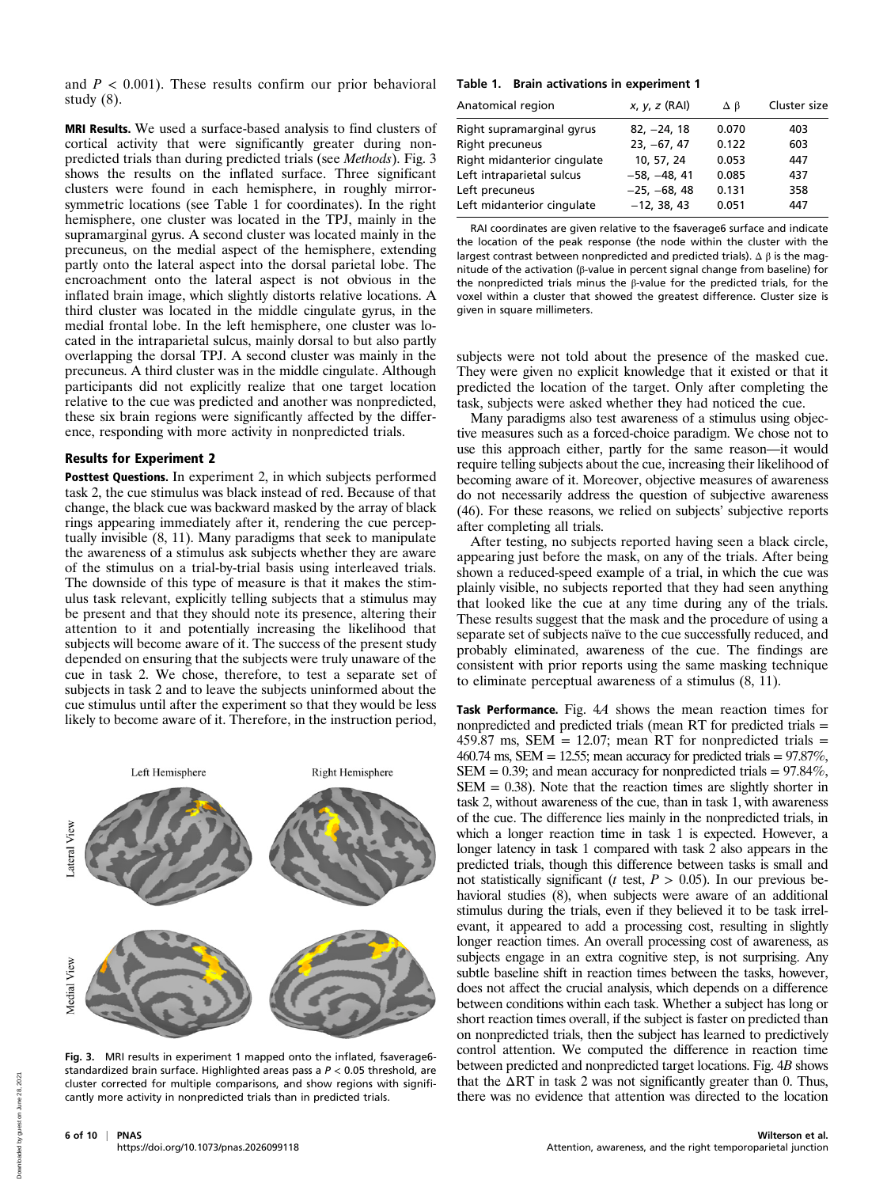and  $P < 0.001$ ). These results confirm our prior behavioral study  $(8)$ .

MRI Results. We used a surface-based analysis to find clusters of cortical activity that were significantly greater during nonpredicted trials than during predicted trials (see Methods). Fig. 3 shows the results on the inflated surface. Three significant clusters were found in each hemisphere, in roughly mirrorsymmetric locations (see Table 1 for coordinates). In the right hemisphere, one cluster was located in the TPJ, mainly in the supramarginal gyrus. A second cluster was located mainly in the precuneus, on the medial aspect of the hemisphere, extending partly onto the lateral aspect into the dorsal parietal lobe. The encroachment onto the lateral aspect is not obvious in the inflated brain image, which slightly distorts relative locations. A third cluster was located in the middle cingulate gyrus, in the medial frontal lobe. In the left hemisphere, one cluster was located in the intraparietal sulcus, mainly dorsal to but also partly overlapping the dorsal TPJ. A second cluster was mainly in the precuneus. A third cluster was in the middle cingulate. Although participants did not explicitly realize that one target location relative to the cue was predicted and another was nonpredicted, these six brain regions were significantly affected by the difference, responding with more activity in nonpredicted trials.

#### Results for Experiment 2

Posttest Questions. In experiment 2, in which subjects performed task 2, the cue stimulus was black instead of red. Because of that change, the black cue was backward masked by the array of black rings appearing immediately after it, rendering the cue perceptually invisible (8, 11). Many paradigms that seek to manipulate the awareness of a stimulus ask subjects whether they are aware of the stimulus on a trial-by-trial basis using interleaved trials. The downside of this type of measure is that it makes the stimulus task relevant, explicitly telling subjects that a stimulus may be present and that they should note its presence, altering their attention to it and potentially increasing the likelihood that subjects will become aware of it. The success of the present study depended on ensuring that the subjects were truly unaware of the cue in task 2. We chose, therefore, to test a separate set of subjects in task 2 and to leave the subjects uninformed about the cue stimulus until after the experiment so that they would be less likely to become aware of it. Therefore, in the instruction period,



Fig. 3. MRI results in experiment 1 mapped onto the inflated, fsaverage6 standardized brain surface. Highlighted areas pass a  $P < 0.05$  threshold, are cluster corrected for multiple comparisons, and show regions with significantly more activity in nonpredicted trials than in predicted trials.

#### Table 1. Brain activations in experiment 1

| Anatomical region           | $x, y, z$ (RAI) | Δβ    | Cluster size |
|-----------------------------|-----------------|-------|--------------|
| Right supramarginal gyrus   | $82. -24.18$    | 0.070 | 403          |
| Right precuneus             | $23, -67, 47$   | 0.122 | 603          |
| Right midanterior cingulate | 10, 57, 24      | 0.053 | 447          |
| Left intraparietal sulcus   | $-58, -48, 41$  | 0.085 | 437          |
| Left precuneus              | $-25, -68, 48$  | 0.131 | 358          |
| Left midanterior cingulate  | $-12, 38, 43$   | 0.051 | 447          |

RAI coordinates are given relative to the fsaverage6 surface and indicate the location of the peak response (the node within the cluster with the largest contrast between nonpredicted and predicted trials).  $\Delta \beta$  is the magnitude of the activation (β-value in percent signal change from baseline) for the nonpredicted trials minus the β-value for the predicted trials, for the voxel within a cluster that showed the greatest difference. Cluster size is given in square millimeters.

subjects were not told about the presence of the masked cue. They were given no explicit knowledge that it existed or that it predicted the location of the target. Only after completing the task, subjects were asked whether they had noticed the cue.

Many paradigms also test awareness of a stimulus using objective measures such as a forced-choice paradigm. We chose not to use this approach either, partly for the same reason—it would require telling subjects about the cue, increasing their likelihood of becoming aware of it. Moreover, objective measures of awareness do not necessarily address the question of subjective awareness (46). For these reasons, we relied on subjects' subjective reports after completing all trials.

After testing, no subjects reported having seen a black circle, appearing just before the mask, on any of the trials. After being shown a reduced-speed example of a trial, in which the cue was plainly visible, no subjects reported that they had seen anything that looked like the cue at any time during any of the trials. These results suggest that the mask and the procedure of using a separate set of subjects naïve to the cue successfully reduced, and probably eliminated, awareness of the cue. The findings are consistent with prior reports using the same masking technique to eliminate perceptual awareness of a stimulus (8, 11).

Task Performance. Fig. 4A shows the mean reaction times for nonpredicted and predicted trials (mean RT for predicted trials = 459.87 ms, SEM = 12.07; mean RT for nonpredicted trials = 460.74 ms, SEM = 12.55; mean accuracy for predicted trials =  $97.87\%$ , SEM = 0.39; and mean accuracy for nonpredicted trials =  $97.84\%$ ,  $SEM = 0.38$ ). Note that the reaction times are slightly shorter in task 2, without awareness of the cue, than in task 1, with awareness of the cue. The difference lies mainly in the nonpredicted trials, in which a longer reaction time in task 1 is expected. However, a longer latency in task 1 compared with task 2 also appears in the predicted trials, though this difference between tasks is small and not statistically significant ( $t$  test,  $P > 0.05$ ). In our previous behavioral studies (8), when subjects were aware of an additional stimulus during the trials, even if they believed it to be task irrelevant, it appeared to add a processing cost, resulting in slightly longer reaction times. An overall processing cost of awareness, as subjects engage in an extra cognitive step, is not surprising. Any subtle baseline shift in reaction times between the tasks, however, does not affect the crucial analysis, which depends on a difference between conditions within each task. Whether a subject has long or short reaction times overall, if the subject is faster on predicted than on nonpredicted trials, then the subject has learned to predictively control attention. We computed the difference in reaction time between predicted and nonpredicted target locations. Fig. 4B shows that the  $\Delta RT$  in task 2 was not significantly greater than 0. Thus, there was no evidence that attention was directed to the location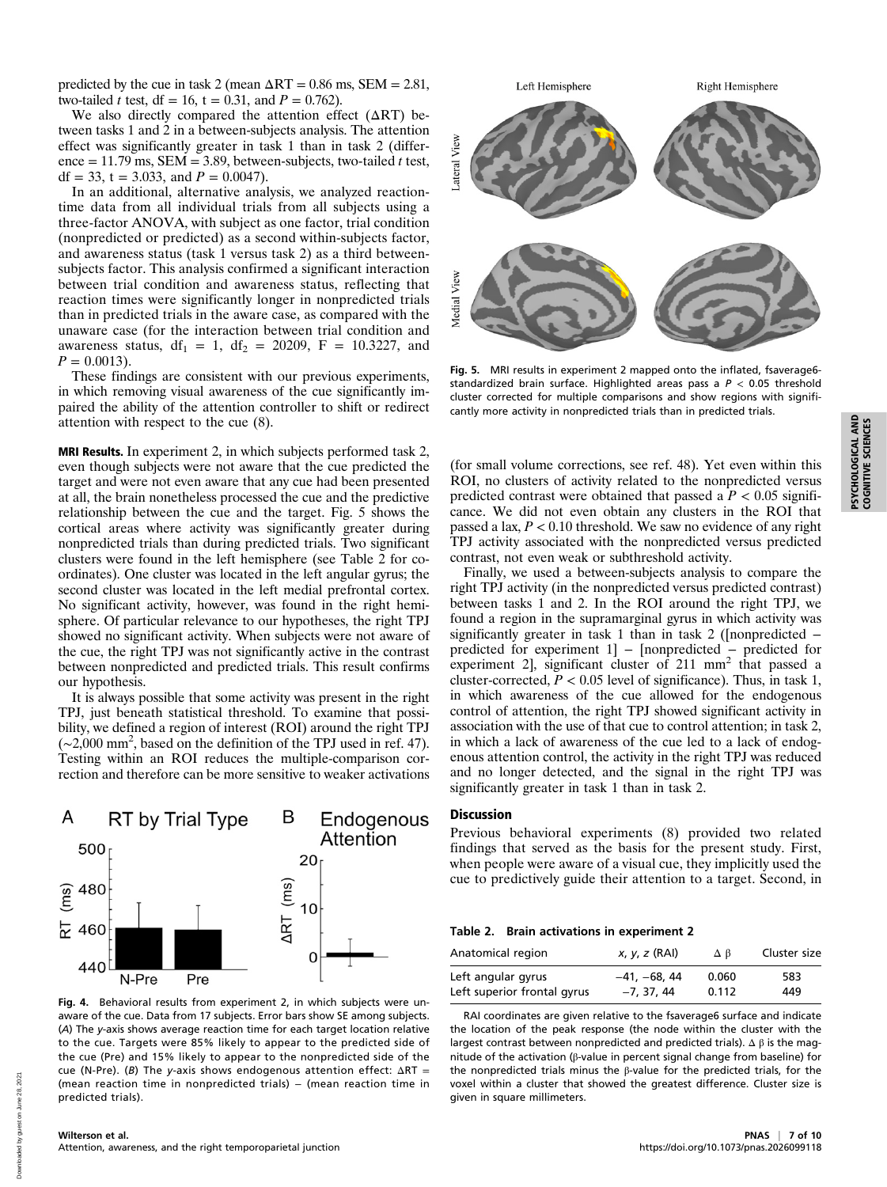predicted by the cue in task 2 (mean  $\Delta RT = 0.86$  ms, SEM = 2.81, two-tailed *t* test, df = 16, t = 0.31, and  $P = 0.762$ ).

We also directly compared the attention effect  $(ΔRT)$  between tasks 1 and 2 in a between-subjects analysis. The attention effect was significantly greater in task 1 than in task 2 (difference = 11.79 ms,  $SEM = 3.89$ , between-subjects, two-tailed t test, df = 33, t = 3.033, and  $P = 0.0047$ ).

In an additional, alternative analysis, we analyzed reactiontime data from all individual trials from all subjects using a three-factor ANOVA, with subject as one factor, trial condition (nonpredicted or predicted) as a second within-subjects factor, and awareness status (task 1 versus task 2) as a third betweensubjects factor. This analysis confirmed a significant interaction between trial condition and awareness status, reflecting that reaction times were significantly longer in nonpredicted trials than in predicted trials in the aware case, as compared with the unaware case (for the interaction between trial condition and awareness status,  $df_1 = 1$ ,  $df_2 = 20209$ ,  $F = 10.3227$ , and  $P = 0.0013$ .

These findings are consistent with our previous experiments, in which removing visual awareness of the cue significantly impaired the ability of the attention controller to shift or redirect attention with respect to the cue (8).

MRI Results. In experiment 2, in which subjects performed task 2, even though subjects were not aware that the cue predicted the target and were not even aware that any cue had been presented at all, the brain nonetheless processed the cue and the predictive relationship between the cue and the target. Fig. 5 shows the cortical areas where activity was significantly greater during nonpredicted trials than during predicted trials. Two significant clusters were found in the left hemisphere (see Table 2 for coordinates). One cluster was located in the left angular gyrus; the second cluster was located in the left medial prefrontal cortex. No significant activity, however, was found in the right hemisphere. Of particular relevance to our hypotheses, the right TPJ showed no significant activity. When subjects were not aware of the cue, the right TPJ was not significantly active in the contrast between nonpredicted and predicted trials. This result confirms our hypothesis.

It is always possible that some activity was present in the right TPJ, just beneath statistical threshold. To examine that possibility, we defined a region of interest (ROI) around the right TPJ (∼2,000 mm<sup>2</sup> , based on the definition of the TPJ used in ref. 47). Testing within an ROI reduces the multiple-comparison correction and therefore can be more sensitive to weaker activations



Fig. 4. Behavioral results from experiment 2, in which subjects were unaware of the cue. Data from 17 subjects. Error bars show SE among subjects. (A) The y-axis shows average reaction time for each target location relative to the cue. Targets were 85% likely to appear to the predicted side of the cue (Pre) and 15% likely to appear to the nonpredicted side of the cue (N-Pre). (B) The y-axis shows endogenous attention effect:  $\Delta RT =$ (mean reaction time in nonpredicted trials) – (mean reaction time in predicted trials).



Fig. 5. MRI results in experiment 2 mapped onto the inflated, fsaverage6 standardized brain surface. Highlighted areas pass a  $P < 0.05$  threshold cluster corrected for multiple comparisons and show regions with significantly more activity in nonpredicted trials than in predicted trials.

(for small volume corrections, see ref. 48). Yet even within this ROI, no clusters of activity related to the nonpredicted versus predicted contrast were obtained that passed a  $\hat{P}$  < 0.05 significance. We did not even obtain any clusters in the ROI that passed a lax,  $P < 0.10$  threshold. We saw no evidence of any right TPJ activity associated with the nonpredicted versus predicted contrast, not even weak or subthreshold activity.

Finally, we used a between-subjects analysis to compare the right TPJ activity (in the nonpredicted versus predicted contrast) between tasks 1 and 2. In the ROI around the right TPJ, we found a region in the supramarginal gyrus in which activity was significantly greater in task 1 than in task 2 ([nonpredicted − predicted for experiment 1] – [nonpredicted – predicted for experiment 2], significant cluster of 211 mm<sup>2</sup> that passed a cluster-corrected,  $P < 0.05$  level of significance). Thus, in task 1, in which awareness of the cue allowed for the endogenous control of attention, the right TPJ showed significant activity in association with the use of that cue to control attention; in task 2, in which a lack of awareness of the cue led to a lack of endogenous attention control, the activity in the right TPJ was reduced and no longer detected, and the signal in the right TPJ was significantly greater in task 1 than in task 2.

## Discussion

Previous behavioral experiments (8) provided two related findings that served as the basis for the present study. First, when people were aware of a visual cue, they implicitly used the cue to predictively guide their attention to a target. Second, in

#### Table 2. Brain activations in experiment 2

| Anatomical region           | $x, y, z$ (RAI) | Δβ    | Cluster size |
|-----------------------------|-----------------|-------|--------------|
| Left angular gyrus          | $-41, -68, 44$  | 0.060 | 583          |
| Left superior frontal gyrus | $-7.37.44$      | 0.112 | 449          |

RAI coordinates are given relative to the fsaverage6 surface and indicate the location of the peak response (the node within the cluster with the largest contrast between nonpredicted and predicted trials).  $\Delta \beta$  is the magnitude of the activation (β-value in percent signal change from baseline) for the nonpredicted trials minus the β-value for the predicted trials, for the voxel within a cluster that showed the greatest difference. Cluster size is given in square millimeters.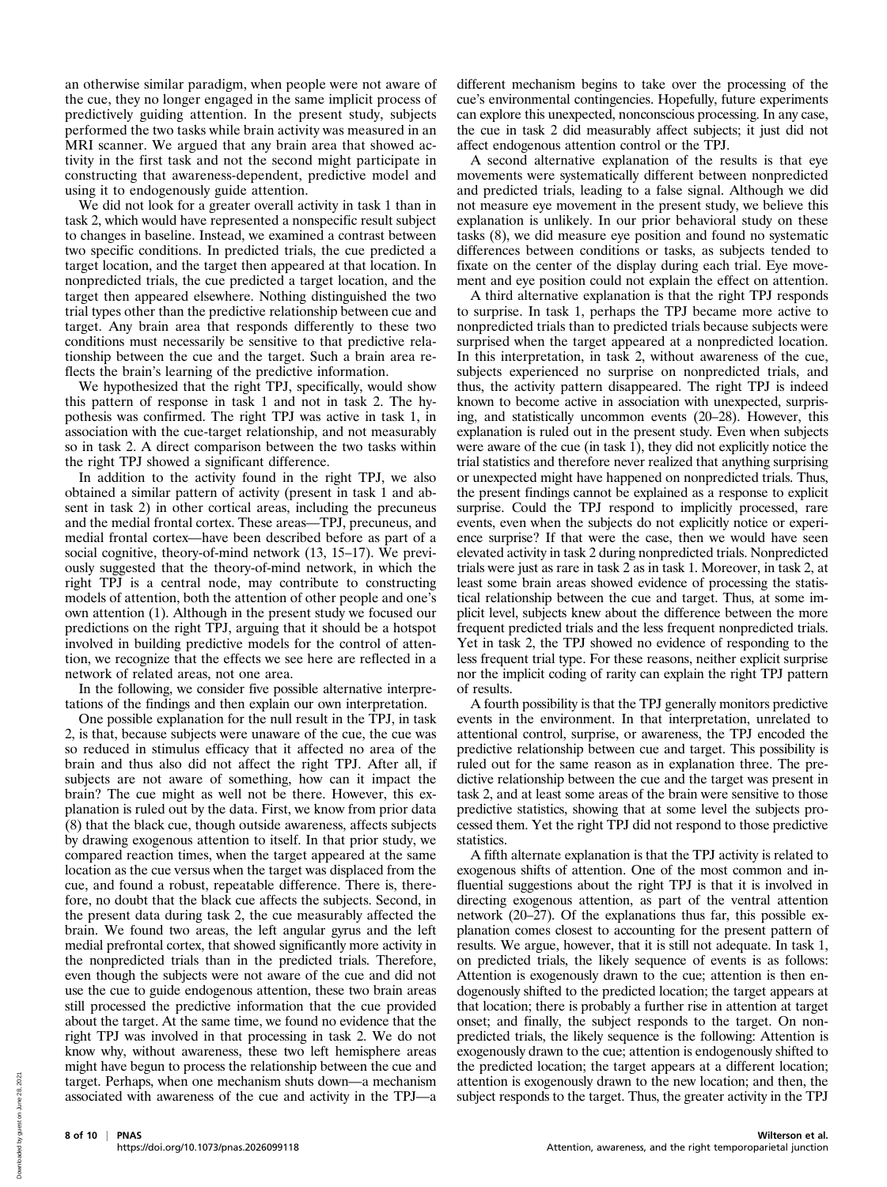an otherwise similar paradigm, when people were not aware of the cue, they no longer engaged in the same implicit process of predictively guiding attention. In the present study, subjects performed the two tasks while brain activity was measured in an MRI scanner. We argued that any brain area that showed activity in the first task and not the second might participate in constructing that awareness-dependent, predictive model and using it to endogenously guide attention.

We did not look for a greater overall activity in task 1 than in task 2, which would have represented a nonspecific result subject to changes in baseline. Instead, we examined a contrast between two specific conditions. In predicted trials, the cue predicted a target location, and the target then appeared at that location. In nonpredicted trials, the cue predicted a target location, and the target then appeared elsewhere. Nothing distinguished the two trial types other than the predictive relationship between cue and target. Any brain area that responds differently to these two conditions must necessarily be sensitive to that predictive relationship between the cue and the target. Such a brain area reflects the brain's learning of the predictive information.

We hypothesized that the right TPJ, specifically, would show this pattern of response in task 1 and not in task 2. The hypothesis was confirmed. The right TPJ was active in task 1, in association with the cue-target relationship, and not measurably so in task 2. A direct comparison between the two tasks within the right TPJ showed a significant difference.

In addition to the activity found in the right TPJ, we also obtained a similar pattern of activity (present in task 1 and absent in task 2) in other cortical areas, including the precuneus and the medial frontal cortex. These areas—TPJ, precuneus, and medial frontal cortex—have been described before as part of a social cognitive, theory-of-mind network (13, 15–17). We previously suggested that the theory-of-mind network, in which the right TPJ is a central node, may contribute to constructing models of attention, both the attention of other people and one's own attention (1). Although in the present study we focused our predictions on the right TPJ, arguing that it should be a hotspot involved in building predictive models for the control of attention, we recognize that the effects we see here are reflected in a network of related areas, not one area.

In the following, we consider five possible alternative interpretations of the findings and then explain our own interpretation.

One possible explanation for the null result in the TPJ, in task 2, is that, because subjects were unaware of the cue, the cue was so reduced in stimulus efficacy that it affected no area of the brain and thus also did not affect the right TPJ. After all, if subjects are not aware of something, how can it impact the brain? The cue might as well not be there. However, this explanation is ruled out by the data. First, we know from prior data (8) that the black cue, though outside awareness, affects subjects by drawing exogenous attention to itself. In that prior study, we compared reaction times, when the target appeared at the same location as the cue versus when the target was displaced from the cue, and found a robust, repeatable difference. There is, therefore, no doubt that the black cue affects the subjects. Second, in the present data during task 2, the cue measurably affected the brain. We found two areas, the left angular gyrus and the left medial prefrontal cortex, that showed significantly more activity in the nonpredicted trials than in the predicted trials. Therefore, even though the subjects were not aware of the cue and did not use the cue to guide endogenous attention, these two brain areas still processed the predictive information that the cue provided about the target. At the same time, we found no evidence that the right TPJ was involved in that processing in task 2. We do not know why, without awareness, these two left hemisphere areas might have begun to process the relationship between the cue and target. Perhaps, when one mechanism shuts down—a mechanism associated with awareness of the cue and activity in the TPJ—a

different mechanism begins to take over the processing of the cue's environmental contingencies. Hopefully, future experiments can explore this unexpected, nonconscious processing. In any case, the cue in task 2 did measurably affect subjects; it just did not affect endogenous attention control or the TPJ.

A second alternative explanation of the results is that eye movements were systematically different between nonpredicted and predicted trials, leading to a false signal. Although we did not measure eye movement in the present study, we believe this explanation is unlikely. In our prior behavioral study on these tasks (8), we did measure eye position and found no systematic differences between conditions or tasks, as subjects tended to fixate on the center of the display during each trial. Eye movement and eye position could not explain the effect on attention.

A third alternative explanation is that the right TPJ responds to surprise. In task 1, perhaps the TPJ became more active to nonpredicted trials than to predicted trials because subjects were surprised when the target appeared at a nonpredicted location. In this interpretation, in task 2, without awareness of the cue, subjects experienced no surprise on nonpredicted trials, and thus, the activity pattern disappeared. The right TPJ is indeed known to become active in association with unexpected, surprising, and statistically uncommon events (20–28). However, this explanation is ruled out in the present study. Even when subjects were aware of the cue (in task 1), they did not explicitly notice the trial statistics and therefore never realized that anything surprising or unexpected might have happened on nonpredicted trials. Thus, the present findings cannot be explained as a response to explicit surprise. Could the TPJ respond to implicitly processed, rare events, even when the subjects do not explicitly notice or experience surprise? If that were the case, then we would have seen elevated activity in task 2 during nonpredicted trials. Nonpredicted trials were just as rare in task 2 as in task 1. Moreover, in task 2, at least some brain areas showed evidence of processing the statistical relationship between the cue and target. Thus, at some implicit level, subjects knew about the difference between the more frequent predicted trials and the less frequent nonpredicted trials. Yet in task 2, the TPJ showed no evidence of responding to the less frequent trial type. For these reasons, neither explicit surprise nor the implicit coding of rarity can explain the right TPJ pattern of results.

A fourth possibility is that the TPJ generally monitors predictive events in the environment. In that interpretation, unrelated to attentional control, surprise, or awareness, the TPJ encoded the predictive relationship between cue and target. This possibility is ruled out for the same reason as in explanation three. The predictive relationship between the cue and the target was present in task 2, and at least some areas of the brain were sensitive to those predictive statistics, showing that at some level the subjects processed them. Yet the right TPJ did not respond to those predictive statistics.

A fifth alternate explanation is that the TPJ activity is related to exogenous shifts of attention. One of the most common and influential suggestions about the right TPJ is that it is involved in directing exogenous attention, as part of the ventral attention network (20–27). Of the explanations thus far, this possible explanation comes closest to accounting for the present pattern of results. We argue, however, that it is still not adequate. In task 1, on predicted trials, the likely sequence of events is as follows: Attention is exogenously drawn to the cue; attention is then endogenously shifted to the predicted location; the target appears at that location; there is probably a further rise in attention at target onset; and finally, the subject responds to the target. On nonpredicted trials, the likely sequence is the following: Attention is exogenously drawn to the cue; attention is endogenously shifted to the predicted location; the target appears at a different location; attention is exogenously drawn to the new location; and then, the subject responds to the target. Thus, the greater activity in the TPJ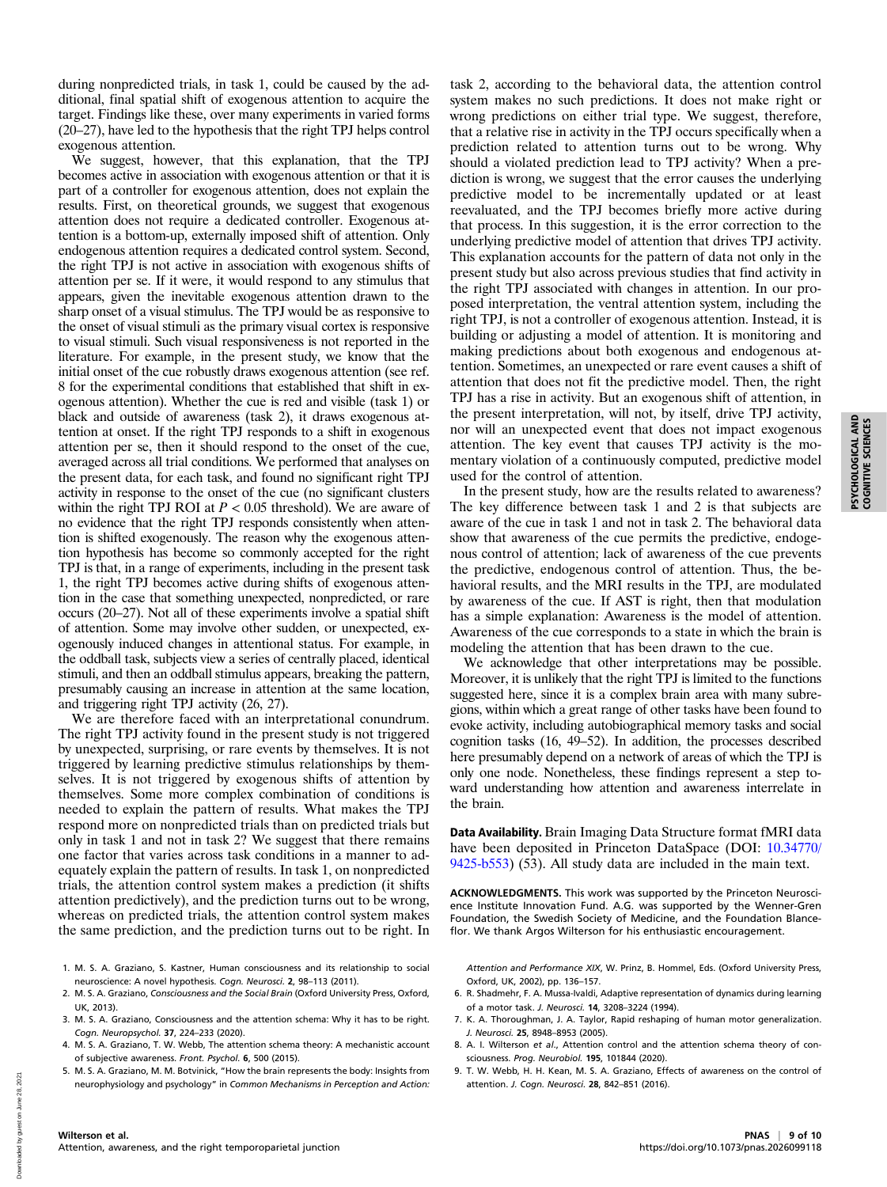during nonpredicted trials, in task 1, could be caused by the additional, final spatial shift of exogenous attention to acquire the target. Findings like these, over many experiments in varied forms (20–27), have led to the hypothesis that the right TPJ helps control exogenous attention.

We suggest, however, that this explanation, that the TPJ becomes active in association with exogenous attention or that it is part of a controller for exogenous attention, does not explain the results. First, on theoretical grounds, we suggest that exogenous attention does not require a dedicated controller. Exogenous attention is a bottom-up, externally imposed shift of attention. Only endogenous attention requires a dedicated control system. Second, the right TPJ is not active in association with exogenous shifts of attention per se. If it were, it would respond to any stimulus that appears, given the inevitable exogenous attention drawn to the sharp onset of a visual stimulus. The TPJ would be as responsive to the onset of visual stimuli as the primary visual cortex is responsive to visual stimuli. Such visual responsiveness is not reported in the literature. For example, in the present study, we know that the initial onset of the cue robustly draws exogenous attention (see ref. 8 for the experimental conditions that established that shift in exogenous attention). Whether the cue is red and visible (task 1) or black and outside of awareness (task 2), it draws exogenous attention at onset. If the right TPJ responds to a shift in exogenous attention per se, then it should respond to the onset of the cue, averaged across all trial conditions. We performed that analyses on the present data, for each task, and found no significant right TPJ activity in response to the onset of the cue (no significant clusters within the right TPJ ROI at  $P < 0.05$  threshold). We are aware of no evidence that the right TPJ responds consistently when attention is shifted exogenously. The reason why the exogenous attention hypothesis has become so commonly accepted for the right TPJ is that, in a range of experiments, including in the present task 1, the right TPJ becomes active during shifts of exogenous attention in the case that something unexpected, nonpredicted, or rare occurs (20–27). Not all of these experiments involve a spatial shift of attention. Some may involve other sudden, or unexpected, exogenously induced changes in attentional status. For example, in the oddball task, subjects view a series of centrally placed, identical stimuli, and then an oddball stimulus appears, breaking the pattern, presumably causing an increase in attention at the same location, and triggering right TPJ activity (26, 27).

We are therefore faced with an interpretational conundrum. The right TPJ activity found in the present study is not triggered by unexpected, surprising, or rare events by themselves. It is not triggered by learning predictive stimulus relationships by themselves. It is not triggered by exogenous shifts of attention by themselves. Some more complex combination of conditions is needed to explain the pattern of results. What makes the TPJ respond more on nonpredicted trials than on predicted trials but only in task 1 and not in task 2? We suggest that there remains one factor that varies across task conditions in a manner to adequately explain the pattern of results. In task 1, on nonpredicted trials, the attention control system makes a prediction (it shifts attention predictively), and the prediction turns out to be wrong, whereas on predicted trials, the attention control system makes the same prediction, and the prediction turns out to be right. In

- 1. M. S. A. Graziano, S. Kastner, Human consciousness and its relationship to social neuroscience: A novel hypothesis. Cogn. Neurosci. 2, 98–113 (2011).
- 2. M. S. A. Graziano, Consciousness and the Social Brain (Oxford University Press, Oxford, UK, 2013).
- 3. M. S. A. Graziano, Consciousness and the attention schema: Why it has to be right. Cogn. Neuropsychol. 37, 224–233 (2020).
- 4. M. S. A. Graziano, T. W. Webb, The attention schema theory: A mechanistic account of subjective awareness. Front. Psychol. 6, 500 (2015).
- 5. M. S. A. Graziano, M. M. Botvinick, "How the brain represents the body: Insights from neurophysiology and psychology" in Common Mechanisms in Perception and Action:

task 2, according to the behavioral data, the attention control system makes no such predictions. It does not make right or wrong predictions on either trial type. We suggest, therefore, that a relative rise in activity in the TPJ occurs specifically when a prediction related to attention turns out to be wrong. Why should a violated prediction lead to TPJ activity? When a prediction is wrong, we suggest that the error causes the underlying predictive model to be incrementally updated or at least reevaluated, and the TPJ becomes briefly more active during that process. In this suggestion, it is the error correction to the underlying predictive model of attention that drives TPJ activity. This explanation accounts for the pattern of data not only in the present study but also across previous studies that find activity in the right TPJ associated with changes in attention. In our proposed interpretation, the ventral attention system, including the right TPJ, is not a controller of exogenous attention. Instead, it is building or adjusting a model of attention. It is monitoring and making predictions about both exogenous and endogenous attention. Sometimes, an unexpected or rare event causes a shift of attention that does not fit the predictive model. Then, the right TPJ has a rise in activity. But an exogenous shift of attention, in the present interpretation, will not, by itself, drive TPJ activity, nor will an unexpected event that does not impact exogenous attention. The key event that causes TPJ activity is the momentary violation of a continuously computed, predictive model used for the control of attention.

In the present study, how are the results related to awareness? The key difference between task 1 and 2 is that subjects are aware of the cue in task 1 and not in task 2. The behavioral data show that awareness of the cue permits the predictive, endogenous control of attention; lack of awareness of the cue prevents the predictive, endogenous control of attention. Thus, the behavioral results, and the MRI results in the TPJ, are modulated by awareness of the cue. If AST is right, then that modulation has a simple explanation: Awareness is the model of attention. Awareness of the cue corresponds to a state in which the brain is modeling the attention that has been drawn to the cue.

We acknowledge that other interpretations may be possible. Moreover, it is unlikely that the right TPJ is limited to the functions suggested here, since it is a complex brain area with many subregions, within which a great range of other tasks have been found to evoke activity, including autobiographical memory tasks and social cognition tasks (16, 49–52). In addition, the processes described here presumably depend on a network of areas of which the TPJ is only one node. Nonetheless, these findings represent a step toward understanding how attention and awareness interrelate in the brain.

Data Availability. Brain Imaging Data Structure format fMRI data have been deposited in Princeton DataSpace (DOI:  $10.34770/$ [9425-b553\)](https://doi.org/10.34770/9425-b553) (53). All study data are included in the main text.

ACKNOWLEDGMENTS. This work was supported by the Princeton Neuroscience Institute Innovation Fund. A.G. was supported by the Wenner-Gren Foundation, the Swedish Society of Medicine, and the Foundation Blanceflor. We thank Argos Wilterson for his enthusiastic encouragement.

Attention and Performance XIX, W. Prinz, B. Hommel, Eds. (Oxford University Press, Oxford, UK, 2002), pp. 136–157.

- 6. R. Shadmehr, F. A. Mussa-Ivaldi, Adaptive representation of dynamics during learning of a motor task. J. Neurosci. 14, 3208–3224 (1994).
- 7. K. A. Thoroughman, J. A. Taylor, Rapid reshaping of human motor generalization. J. Neurosci. 25, 8948–8953 (2005).
- 8. A. I. Wilterson et al., Attention control and the attention schema theory of consciousness. Prog. Neurobiol. 195, 101844 (2020).
- 9. T. W. Webb, H. H. Kean, M. S. A. Graziano, Effects of awareness on the control of attention. J. Cogn. Neurosci. 28, 842–851 (2016).